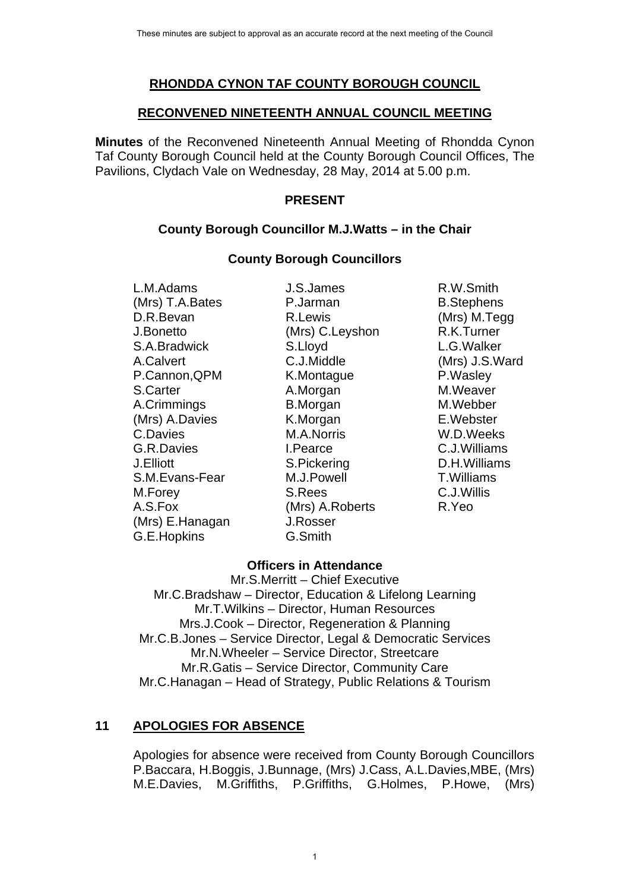## **RHONDDA CYNON TAF COUNTY BOROUGH COUNCIL**

#### **RECONVENED NINETEENTH ANNUAL COUNCIL MEETING**

**Minutes** of the Reconvened Nineteenth Annual Meeting of Rhondda Cynon Taf County Borough Council held at the County Borough Council Offices, The Pavilions, Clydach Vale on Wednesday, 28 May, 2014 at 5.00 p.m.

#### **PRESENT**

## **County Borough Councillor M.J.Watts – in the Chair**

#### **County Borough Councillors**

 L.M.Adams J.S.James R.W.Smith (Mrs) T.A.Bates P.Jarman B.Stephens D.R.Bevan R.Lewis (Mrs) M.Tegg J.Bonetto (Mrs) C.Leyshon R.K.Turner S.A.Bradwick S.Lloyd L.G.Walker A.Calvert C.J.Middle (Mrs) J.S.Ward P.Cannon, QPM K.Montague P.Wasley S.Carter **A.Morgan** A.Morgan M.Weaver A.Crimmings B.Morgan M.Webber (Mrs) A.Davies **K.Morgan E.Webster** C.Davies M.A.Norris W.D.Weeks G.R.Davies I.Pearce C.J.Williams J.Elliott S.Pickering D.H.Williams S.M.Evans-Fear M.J.Powell T.Williams M.Forey S.Rees C.J.Willis A.S.Fox (Mrs) A.Roberts R.Yeo (Mrs) E.Hanagan J.Rosser G.E.Hopkins G.Smith

## **Officers in Attendance**

Mr.S.Merritt – Chief Executive Mr.C.Bradshaw – Director, Education & Lifelong Learning Mr.T.Wilkins – Director, Human Resources Mrs.J.Cook – Director, Regeneration & Planning Mr.C.B.Jones – Service Director, Legal & Democratic Services Mr.N.Wheeler – Service Director, Streetcare Mr.R.Gatis – Service Director, Community Care Mr.C.Hanagan – Head of Strategy, Public Relations & Tourism

# **11 APOLOGIES FOR ABSENCE**

Apologies for absence were received from County Borough Councillors P.Baccara, H.Boggis, J.Bunnage, (Mrs) J.Cass, A.L.Davies,MBE, (Mrs) M.E.Davies, M.Griffiths, P.Griffiths, G.Holmes, P.Howe, (Mrs)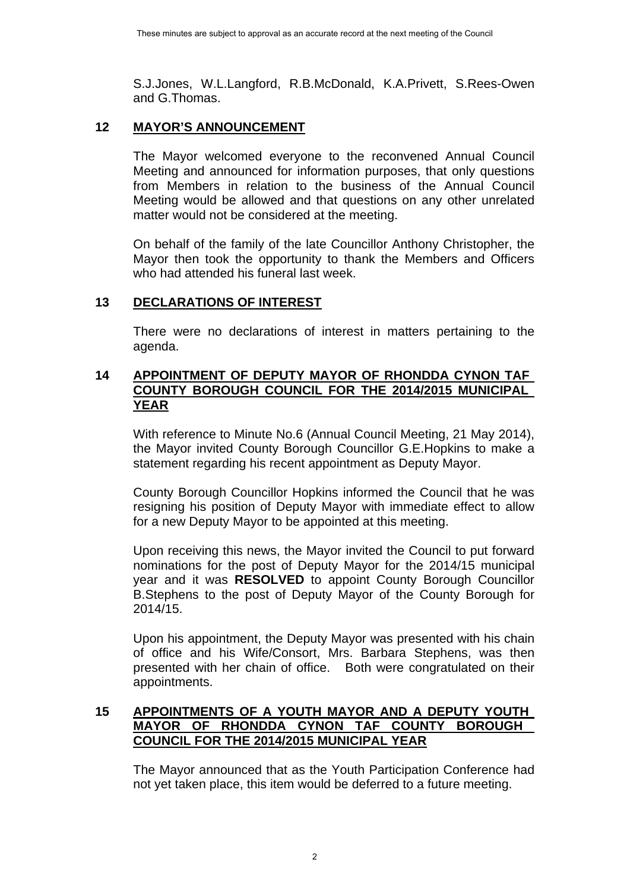S.J.Jones, W.L.Langford, R.B.McDonald, K.A.Privett, S.Rees-Owen and G.Thomas.

## **12 MAYOR'S ANNOUNCEMENT**

The Mayor welcomed everyone to the reconvened Annual Council Meeting and announced for information purposes, that only questions from Members in relation to the business of the Annual Council Meeting would be allowed and that questions on any other unrelated matter would not be considered at the meeting.

On behalf of the family of the late Councillor Anthony Christopher, the Mayor then took the opportunity to thank the Members and Officers who had attended his funeral last week.

## **13 DECLARATIONS OF INTEREST**

 There were no declarations of interest in matters pertaining to the agenda.

#### **14 APPOINTMENT OF DEPUTY MAYOR OF RHONDDA CYNON TAF COUNTY BOROUGH COUNCIL FOR THE 2014/2015 MUNICIPAL YEAR**

With reference to Minute No.6 (Annual Council Meeting, 21 May 2014), the Mayor invited County Borough Councillor G.E.Hopkins to make a statement regarding his recent appointment as Deputy Mayor.

County Borough Councillor Hopkins informed the Council that he was resigning his position of Deputy Mayor with immediate effect to allow for a new Deputy Mayor to be appointed at this meeting.

Upon receiving this news, the Mayor invited the Council to put forward nominations for the post of Deputy Mayor for the 2014/15 municipal year and it was **RESOLVED** to appoint County Borough Councillor B.Stephens to the post of Deputy Mayor of the County Borough for 2014/15.

Upon his appointment, the Deputy Mayor was presented with his chain of office and his Wife/Consort, Mrs. Barbara Stephens, was then presented with her chain of office. Both were congratulated on their appointments.

## **15 APPOINTMENTS OF A YOUTH MAYOR AND A DEPUTY YOUTH MAYOR OF RHONDDA CYNON TAF COUNTY BOROUGH COUNCIL FOR THE 2014/2015 MUNICIPAL YEAR**

The Mayor announced that as the Youth Participation Conference had not yet taken place, this item would be deferred to a future meeting.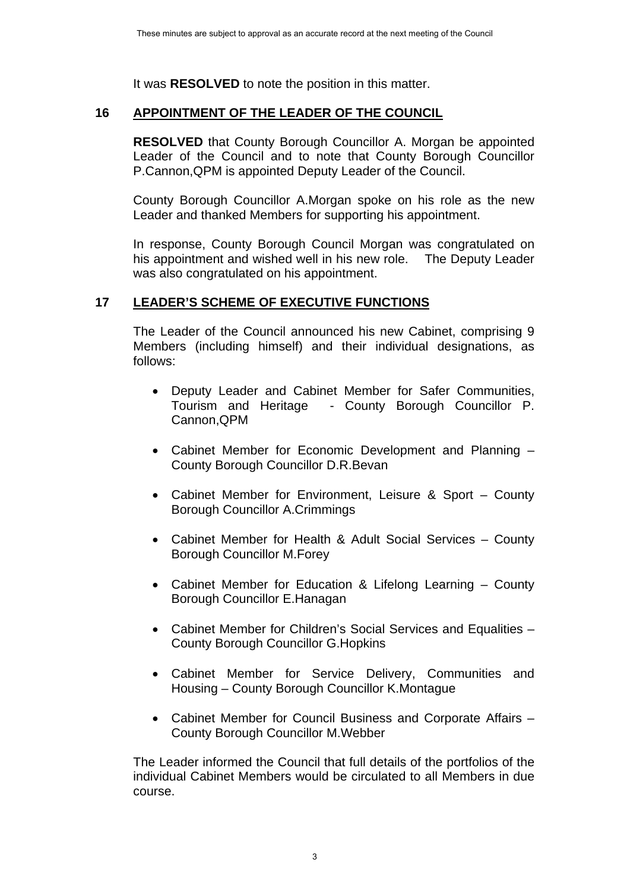It was **RESOLVED** to note the position in this matter.

#### **16 APPOINTMENT OF THE LEADER OF THE COUNCIL**

**RESOLVED** that County Borough Councillor A. Morgan be appointed Leader of the Council and to note that County Borough Councillor P.Cannon,QPM is appointed Deputy Leader of the Council.

County Borough Councillor A.Morgan spoke on his role as the new Leader and thanked Members for supporting his appointment.

In response, County Borough Council Morgan was congratulated on his appointment and wished well in his new role. The Deputy Leader was also congratulated on his appointment.

## **17 LEADER'S SCHEME OF EXECUTIVE FUNCTIONS**

The Leader of the Council announced his new Cabinet, comprising 9 Members (including himself) and their individual designations, as follows:

- Deputy Leader and Cabinet Member for Safer Communities, Tourism and Heritage - County Borough Councillor P. Cannon,QPM
- Cabinet Member for Economic Development and Planning County Borough Councillor D.R.Bevan
- Cabinet Member for Environment, Leisure & Sport County Borough Councillor A.Crimmings
- Cabinet Member for Health & Adult Social Services County Borough Councillor M.Forey
- Cabinet Member for Education & Lifelong Learning County Borough Councillor E.Hanagan
- Cabinet Member for Children's Social Services and Equalities County Borough Councillor G.Hopkins
- Cabinet Member for Service Delivery, Communities and Housing – County Borough Councillor K.Montague
- Cabinet Member for Council Business and Corporate Affairs County Borough Councillor M.Webber

The Leader informed the Council that full details of the portfolios of the individual Cabinet Members would be circulated to all Members in due course.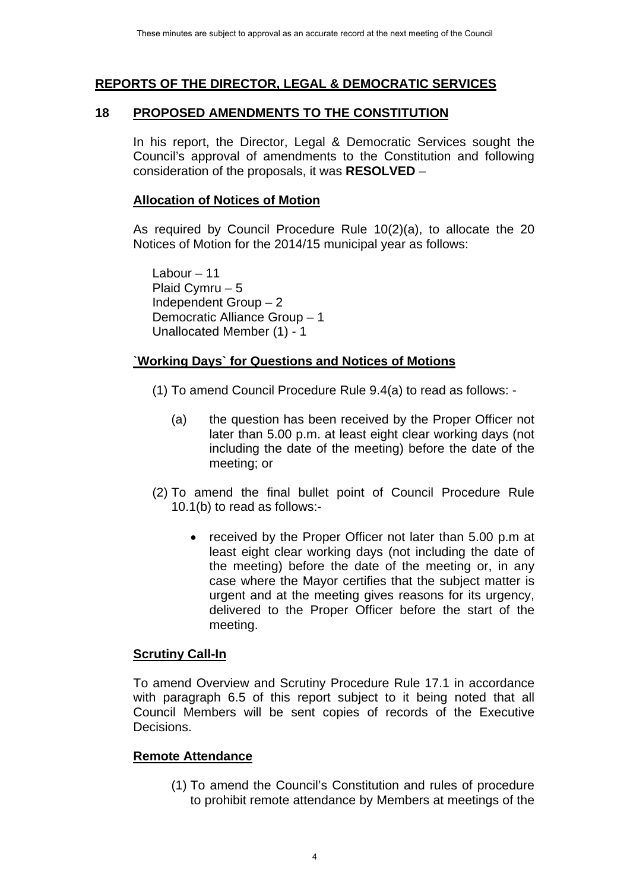## **REPORTS OF THE DIRECTOR, LEGAL & DEMOCRATIC SERVICES**

#### **18 PROPOSED AMENDMENTS TO THE CONSTITUTION**

In his report, the Director, Legal & Democratic Services sought the Council's approval of amendments to the Constitution and following consideration of the proposals, it was **RESOLVED** –

### **Allocation of Notices of Motion**

As required by Council Procedure Rule 10(2)(a), to allocate the 20 Notices of Motion for the 2014/15 municipal year as follows:

Labour – 11 Plaid Cymru – 5 Independent Group – 2 Democratic Alliance Group – 1 Unallocated Member (1) - 1

## **`Working Days` for Questions and Notices of Motions**

- (1) To amend Council Procedure Rule 9.4(a) to read as follows:
	- (a) the question has been received by the Proper Officer not later than 5.00 p.m. at least eight clear working days (not including the date of the meeting) before the date of the meeting; or
- (2) To amend the final bullet point of Council Procedure Rule 10.1(b) to read as follows:-
	- received by the Proper Officer not later than 5.00 p.m at least eight clear working days (not including the date of the meeting) before the date of the meeting or, in any case where the Mayor certifies that the subject matter is urgent and at the meeting gives reasons for its urgency, delivered to the Proper Officer before the start of the meeting.

#### **Scrutiny Call-In**

To amend Overview and Scrutiny Procedure Rule 17.1 in accordance with paragraph 6.5 of this report subject to it being noted that all Council Members will be sent copies of records of the Executive Decisions.

## **Remote Attendance**

(1) To amend the Council's Constitution and rules of procedure to prohibit remote attendance by Members at meetings of the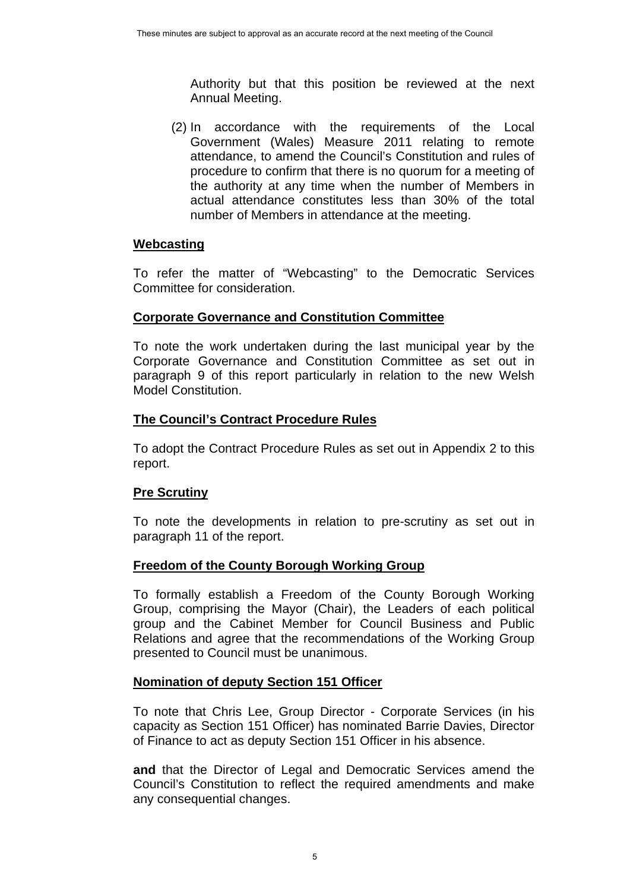Authority but that this position be reviewed at the next Annual Meeting.

(2) In accordance with the requirements of the Local Government (Wales) Measure 2011 relating to remote attendance, to amend the Council's Constitution and rules of procedure to confirm that there is no quorum for a meeting of the authority at any time when the number of Members in actual attendance constitutes less than 30% of the total number of Members in attendance at the meeting.

## **Webcasting**

To refer the matter of "Webcasting" to the Democratic Services Committee for consideration.

#### **Corporate Governance and Constitution Committee**

To note the work undertaken during the last municipal year by the Corporate Governance and Constitution Committee as set out in paragraph 9 of this report particularly in relation to the new Welsh Model Constitution.

## **The Council's Contract Procedure Rules**

To adopt the Contract Procedure Rules as set out in Appendix 2 to this report.

## **Pre Scrutiny**

To note the developments in relation to pre-scrutiny as set out in paragraph 11 of the report.

## **Freedom of the County Borough Working Group**

To formally establish a Freedom of the County Borough Working Group, comprising the Mayor (Chair), the Leaders of each political group and the Cabinet Member for Council Business and Public Relations and agree that the recommendations of the Working Group presented to Council must be unanimous.

## **Nomination of deputy Section 151 Officer**

To note that Chris Lee, Group Director - Corporate Services (in his capacity as Section 151 Officer) has nominated Barrie Davies, Director of Finance to act as deputy Section 151 Officer in his absence.

**and** that the Director of Legal and Democratic Services amend the Council's Constitution to reflect the required amendments and make any consequential changes.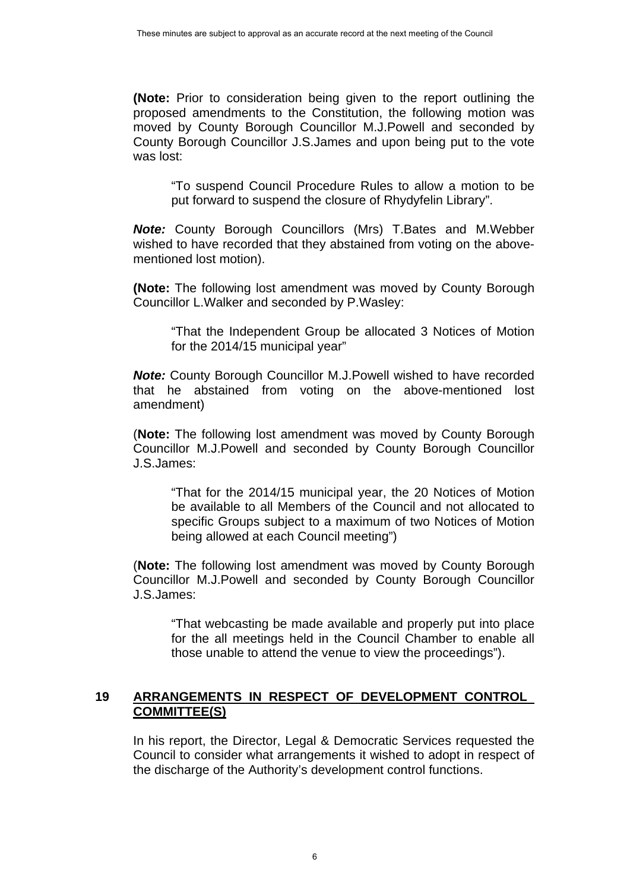**(Note:** Prior to consideration being given to the report outlining the proposed amendments to the Constitution, the following motion was moved by County Borough Councillor M.J.Powell and seconded by County Borough Councillor J.S.James and upon being put to the vote was lost:

"To suspend Council Procedure Rules to allow a motion to be put forward to suspend the closure of Rhydyfelin Library".

*Note:* County Borough Councillors (Mrs) T.Bates and M.Webber wished to have recorded that they abstained from voting on the abovementioned lost motion).

**(Note:** The following lost amendment was moved by County Borough Councillor L.Walker and seconded by P.Wasley:

"That the Independent Group be allocated 3 Notices of Motion for the 2014/15 municipal year"

*Note:* County Borough Councillor M.J.Powell wished to have recorded that he abstained from voting on the above-mentioned lost amendment)

(**Note:** The following lost amendment was moved by County Borough Councillor M.J.Powell and seconded by County Borough Councillor J.S.James:

"That for the 2014/15 municipal year, the 20 Notices of Motion be available to all Members of the Council and not allocated to specific Groups subject to a maximum of two Notices of Motion being allowed at each Council meeting")

(**Note:** The following lost amendment was moved by County Borough Councillor M.J.Powell and seconded by County Borough Councillor J.S.James:

"That webcasting be made available and properly put into place for the all meetings held in the Council Chamber to enable all those unable to attend the venue to view the proceedings").

#### **19 ARRANGEMENTS IN RESPECT OF DEVELOPMENT CONTROL COMMITTEE(S)**

In his report, the Director, Legal & Democratic Services requested the Council to consider what arrangements it wished to adopt in respect of the discharge of the Authority's development control functions.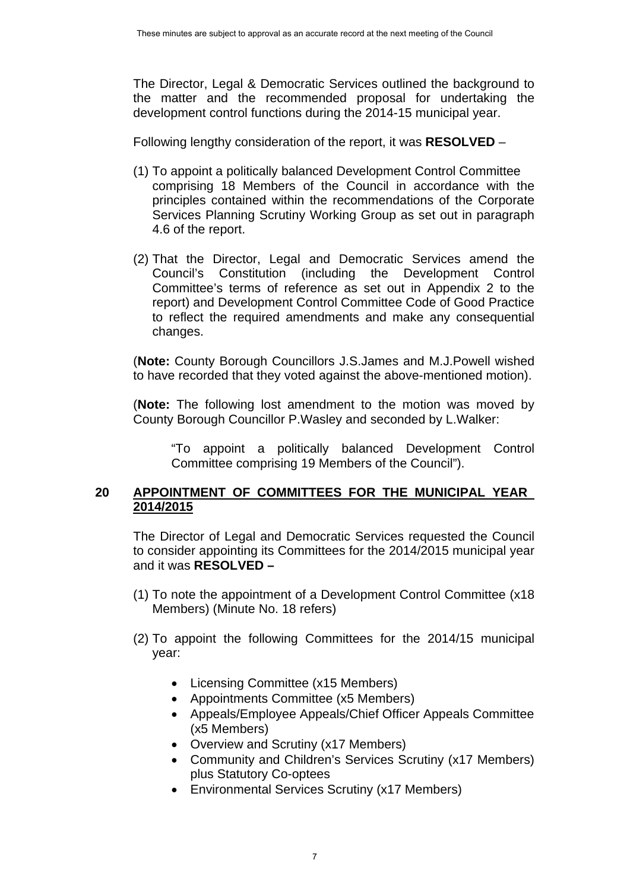The Director, Legal & Democratic Services outlined the background to the matter and the recommended proposal for undertaking the development control functions during the 2014-15 municipal year.

Following lengthy consideration of the report, it was **RESOLVED** –

- (1) To appoint a politically balanced Development Control Committee comprising 18 Members of the Council in accordance with the principles contained within the recommendations of the Corporate Services Planning Scrutiny Working Group as set out in paragraph 4.6 of the report.
- (2) That the Director, Legal and Democratic Services amend the Council's Constitution (including the Development Control Committee's terms of reference as set out in Appendix 2 to the report) and Development Control Committee Code of Good Practice to reflect the required amendments and make any consequential changes.

(**Note:** County Borough Councillors J.S.James and M.J.Powell wished to have recorded that they voted against the above-mentioned motion).

(**Note:** The following lost amendment to the motion was moved by County Borough Councillor P.Wasley and seconded by L.Walker:

"To appoint a politically balanced Development Control Committee comprising 19 Members of the Council").

## **20 APPOINTMENT OF COMMITTEES FOR THE MUNICIPAL YEAR 2014/2015**

 The Director of Legal and Democratic Services requested the Council to consider appointing its Committees for the 2014/2015 municipal year and it was **RESOLVED –** 

- (1) To note the appointment of a Development Control Committee (x18 Members) (Minute No. 18 refers)
- (2) To appoint the following Committees for the 2014/15 municipal year:
	- Licensing Committee (x15 Members)
	- Appointments Committee (x5 Members)
	- Appeals/Employee Appeals/Chief Officer Appeals Committee (x5 Members)
	- Overview and Scrutiny (x17 Members)
	- Community and Children's Services Scrutiny (x17 Members) plus Statutory Co-optees
	- Environmental Services Scrutiny (x17 Members)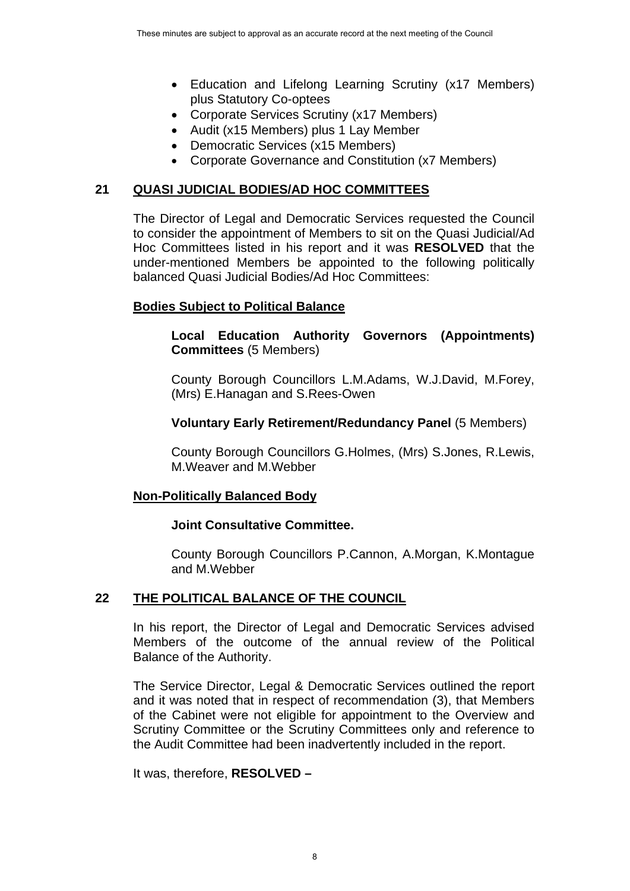- Education and Lifelong Learning Scrutiny (x17 Members) plus Statutory Co-optees
- Corporate Services Scrutiny (x17 Members)
- Audit (x15 Members) plus 1 Lay Member
- Democratic Services (x15 Members)
- Corporate Governance and Constitution (x7 Members)

## **21 QUASI JUDICIAL BODIES/AD HOC COMMITTEES**

The Director of Legal and Democratic Services requested the Council to consider the appointment of Members to sit on the Quasi Judicial/Ad Hoc Committees listed in his report and it was **RESOLVED** that the under-mentioned Members be appointed to the following politically balanced Quasi Judicial Bodies/Ad Hoc Committees:

#### **Bodies Subject to Political Balance**

#### **Local Education Authority Governors (Appointments) Committees** (5 Members)

County Borough Councillors L.M.Adams, W.J.David, M.Forey, (Mrs) E.Hanagan and S.Rees-Owen

## **Voluntary Early Retirement/Redundancy Panel** (5 Members)

County Borough Councillors G.Holmes, (Mrs) S.Jones, R.Lewis, M.Weaver and M.Webber

#### **Non-Politically Balanced Body**

#### **Joint Consultative Committee.**

County Borough Councillors P.Cannon, A.Morgan, K.Montague and M.Webber

#### **22 THE POLITICAL BALANCE OF THE COUNCIL**

 In his report, the Director of Legal and Democratic Services advised Members of the outcome of the annual review of the Political Balance of the Authority.

The Service Director, Legal & Democratic Services outlined the report and it was noted that in respect of recommendation (3), that Members of the Cabinet were not eligible for appointment to the Overview and Scrutiny Committee or the Scrutiny Committees only and reference to the Audit Committee had been inadvertently included in the report.

It was, therefore, **RESOLVED –**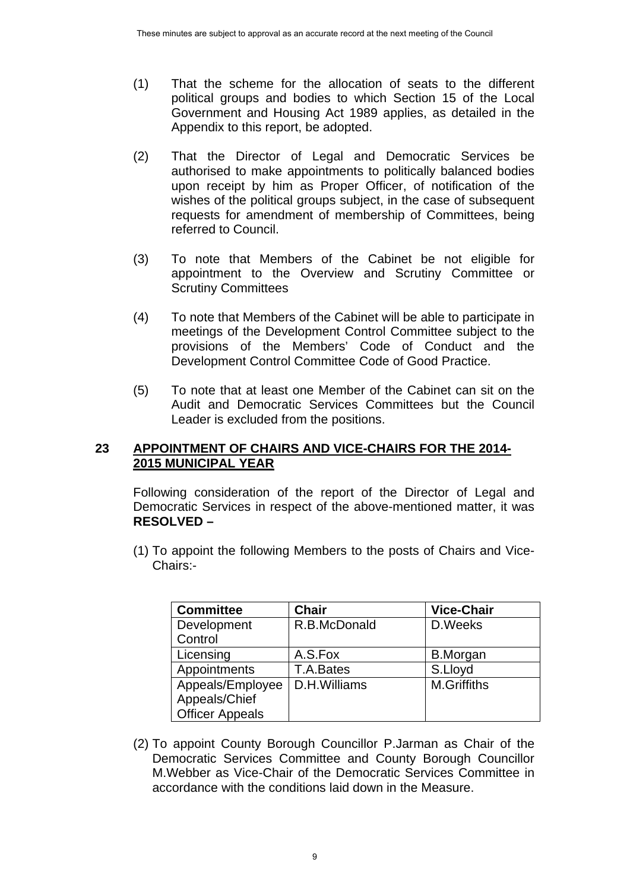- (1) That the scheme for the allocation of seats to the different political groups and bodies to which Section 15 of the Local Government and Housing Act 1989 applies, as detailed in the Appendix to this report, be adopted.
- (2) That the Director of Legal and Democratic Services be authorised to make appointments to politically balanced bodies upon receipt by him as Proper Officer, of notification of the wishes of the political groups subject, in the case of subsequent requests for amendment of membership of Committees, being referred to Council.
- (3) To note that Members of the Cabinet be not eligible for appointment to the Overview and Scrutiny Committee or Scrutiny Committees
- (4) To note that Members of the Cabinet will be able to participate in meetings of the Development Control Committee subject to the provisions of the Members' Code of Conduct and the Development Control Committee Code of Good Practice.
- (5) To note that at least one Member of the Cabinet can sit on the Audit and Democratic Services Committees but the Council Leader is excluded from the positions.

#### **23 APPOINTMENT OF CHAIRS AND VICE-CHAIRS FOR THE 2014- 2015 MUNICIPAL YEAR**

 Following consideration of the report of the Director of Legal and Democratic Services in respect of the above-mentioned matter, it was **RESOLVED –** 

(1) To appoint the following Members to the posts of Chairs and Vice-Chairs:-

| <b>Committee</b>       | <b>Chair</b> | <b>Vice-Chair</b>  |
|------------------------|--------------|--------------------|
| Development            | R.B.McDonald | D.Weeks            |
| Control                |              |                    |
| Licensing              | A.S.Fox      | <b>B.Morgan</b>    |
| Appointments           | T.A.Bates    | S.Lloyd            |
| Appeals/Employee       | D.H.Williams | <b>M.Griffiths</b> |
| Appeals/Chief          |              |                    |
| <b>Officer Appeals</b> |              |                    |

(2) To appoint County Borough Councillor P.Jarman as Chair of the Democratic Services Committee and County Borough Councillor M.Webber as Vice-Chair of the Democratic Services Committee in accordance with the conditions laid down in the Measure.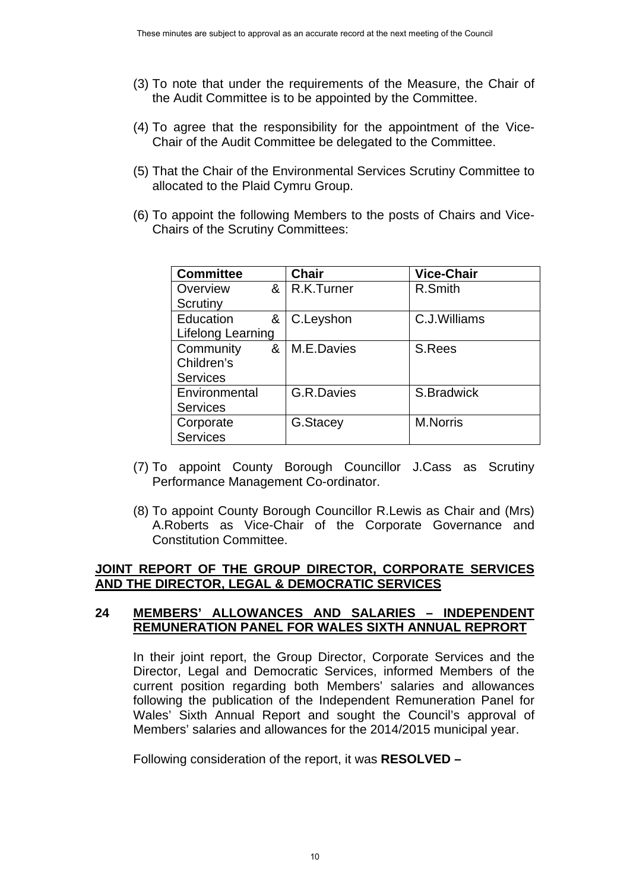- (3) To note that under the requirements of the Measure, the Chair of the Audit Committee is to be appointed by the Committee.
- (4) To agree that the responsibility for the appointment of the Vice-Chair of the Audit Committee be delegated to the Committee.
- (5) That the Chair of the Environmental Services Scrutiny Committee to allocated to the Plaid Cymru Group.
- (6) To appoint the following Members to the posts of Chairs and Vice-Chairs of the Scrutiny Committees:

| <b>Committee</b>  |   | <b>Chair</b>      | <b>Vice-Chair</b> |
|-------------------|---|-------------------|-------------------|
| Overview          | & | R.K.Turner        | R.Smith           |
| Scrutiny          |   |                   |                   |
| Education<br>&    |   | C.Leyshon         | C.J. Williams     |
| Lifelong Learning |   |                   |                   |
| Community         | & | M.E.Davies        | S.Rees            |
| Children's        |   |                   |                   |
| <b>Services</b>   |   |                   |                   |
| Environmental     |   | <b>G.R.Davies</b> | S.Bradwick        |
| <b>Services</b>   |   |                   |                   |
| Corporate         |   | G.Stacey          | <b>M.Norris</b>   |
| <b>Services</b>   |   |                   |                   |

- (7) To appoint County Borough Councillor J.Cass as Scrutiny Performance Management Co-ordinator.
- (8) To appoint County Borough Councillor R.Lewis as Chair and (Mrs) A.Roberts as Vice-Chair of the Corporate Governance and Constitution Committee.

#### **JOINT REPORT OF THE GROUP DIRECTOR, CORPORATE SERVICES AND THE DIRECTOR, LEGAL & DEMOCRATIC SERVICES**

#### **24 MEMBERS' ALLOWANCES AND SALARIES – INDEPENDENT REMUNERATION PANEL FOR WALES SIXTH ANNUAL REPRORT**

In their joint report, the Group Director, Corporate Services and the Director, Legal and Democratic Services, informed Members of the current position regarding both Members' salaries and allowances following the publication of the Independent Remuneration Panel for Wales' Sixth Annual Report and sought the Council's approval of Members' salaries and allowances for the 2014/2015 municipal year.

Following consideration of the report, it was **RESOLVED –**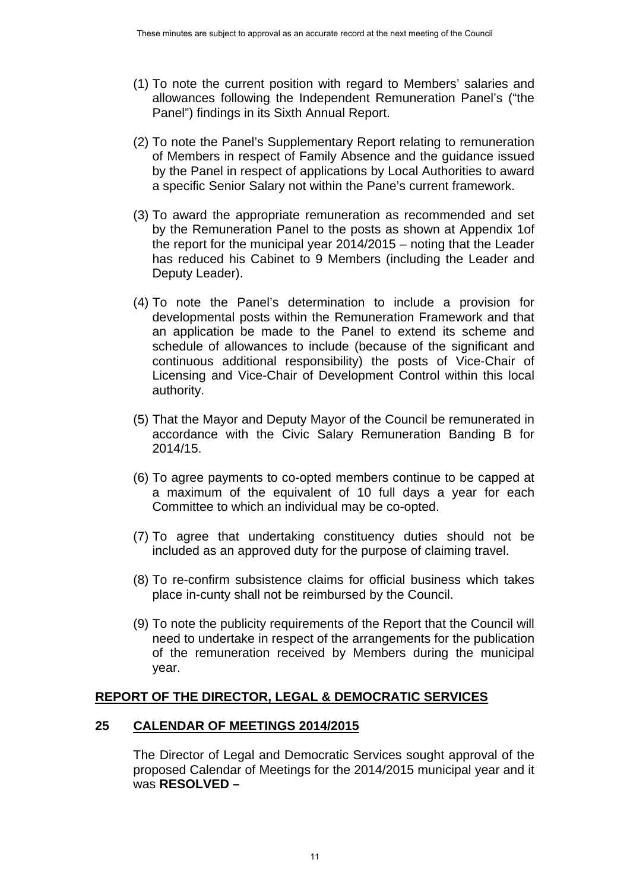- (1) To note the current position with regard to Members' salaries and allowances following the Independent Remuneration Panel's ("the Panel") findings in its Sixth Annual Report.
- (2) To note the Panel's Supplementary Report relating to remuneration of Members in respect of Family Absence and the guidance issued by the Panel in respect of applications by Local Authorities to award a specific Senior Salary not within the Pane's current framework.
- (3) To award the appropriate remuneration as recommended and set by the Remuneration Panel to the posts as shown at Appendix 1of the report for the municipal year 2014/2015 – noting that the Leader has reduced his Cabinet to 9 Members (including the Leader and Deputy Leader).
- (4) To note the Panel's determination to include a provision for developmental posts within the Remuneration Framework and that an application be made to the Panel to extend its scheme and schedule of allowances to include (because of the significant and continuous additional responsibility) the posts of Vice-Chair of Licensing and Vice-Chair of Development Control within this local authority.
- (5) That the Mayor and Deputy Mayor of the Council be remunerated in accordance with the Civic Salary Remuneration Banding B for 2014/15.
- (6) To agree payments to co-opted members continue to be capped at a maximum of the equivalent of 10 full days a year for each Committee to which an individual may be co-opted.
- (7) To agree that undertaking constituency duties should not be included as an approved duty for the purpose of claiming travel.
- (8) To re-confirm subsistence claims for official business which takes place in-cunty shall not be reimbursed by the Council.
- (9) To note the publicity requirements of the Report that the Council will need to undertake in respect of the arrangements for the publication of the remuneration received by Members during the municipal year.

#### **REPORT OF THE DIRECTOR, LEGAL & DEMOCRATIC SERVICES**

#### **25 CALENDAR OF MEETINGS 2014/2015**

The Director of Legal and Democratic Services sought approval of the proposed Calendar of Meetings for the 2014/2015 municipal year and it was **RESOLVED –**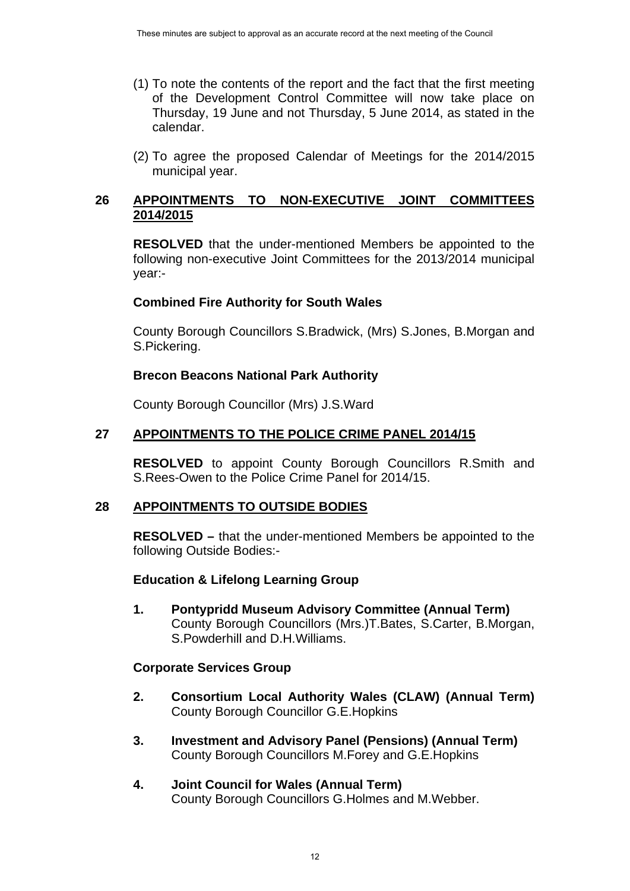- (1) To note the contents of the report and the fact that the first meeting of the Development Control Committee will now take place on Thursday, 19 June and not Thursday, 5 June 2014, as stated in the calendar.
- (2) To agree the proposed Calendar of Meetings for the 2014/2015 municipal year.

## **26 APPOINTMENTS TO NON-EXECUTIVE JOINT COMMITTEES 2014/2015**

**RESOLVED** that the under-mentioned Members be appointed to the following non-executive Joint Committees for the 2013/2014 municipal year:-

## **Combined Fire Authority for South Wales**

County Borough Councillors S.Bradwick, (Mrs) S.Jones, B.Morgan and S.Pickering.

## **Brecon Beacons National Park Authority**

County Borough Councillor (Mrs) J.S.Ward

#### **27 APPOINTMENTS TO THE POLICE CRIME PANEL 2014/15**

**RESOLVED** to appoint County Borough Councillors R.Smith and S.Rees-Owen to the Police Crime Panel for 2014/15.

#### **28 APPOINTMENTS TO OUTSIDE BODIES**

**RESOLVED –** that the under-mentioned Members be appointed to the following Outside Bodies:-

#### **Education & Lifelong Learning Group**

 **1. Pontypridd Museum Advisory Committee (Annual Term)** County Borough Councillors (Mrs.)T.Bates, S.Carter, B.Morgan, S.Powderhill and D.H.Williams.

#### **Corporate Services Group**

- **2. Consortium Local Authority Wales (CLAW) (Annual Term)** County Borough Councillor G.E.Hopkins
- **3. Investment and Advisory Panel (Pensions) (Annual Term)** County Borough Councillors M.Forey and G.E.Hopkins
- **4. Joint Council for Wales (Annual Term)** County Borough Councillors G.Holmes and M.Webber.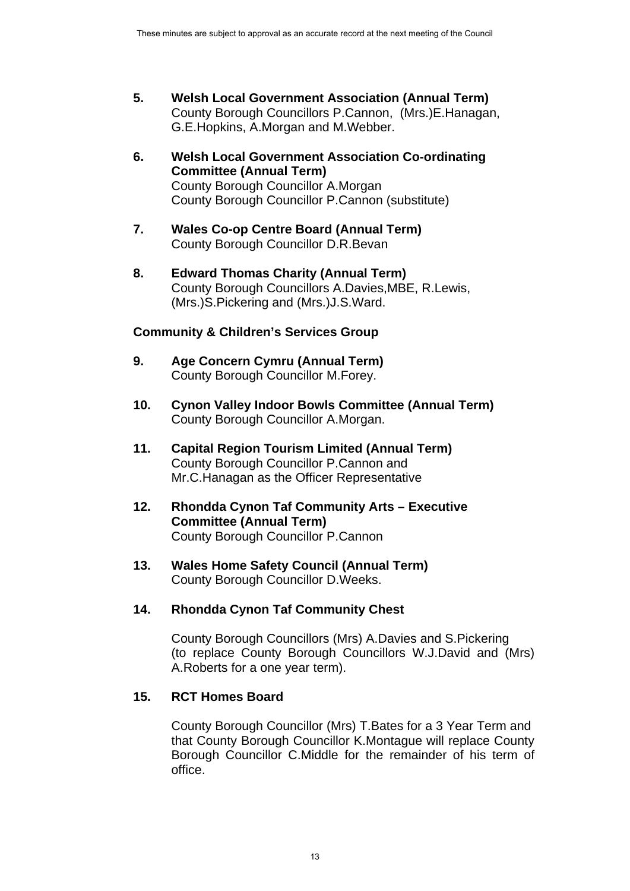- **5. Welsh Local Government Association (Annual Term)**  County Borough Councillors P.Cannon, (Mrs.)E.Hanagan, G.E.Hopkins, A.Morgan and M.Webber.
- **6. Welsh Local Government Association Co-ordinating Committee (Annual Term)** County Borough Councillor A.Morgan County Borough Councillor P.Cannon (substitute)
- **7. Wales Co-op Centre Board (Annual Term)** County Borough Councillor D.R.Bevan
- **8. Edward Thomas Charity (Annual Term)** County Borough Councillors A.Davies,MBE, R.Lewis, (Mrs.)S.Pickering and (Mrs.)J.S.Ward.

# **Community & Children's Services Group**

- **9. Age Concern Cymru (Annual Term)** County Borough Councillor M.Forey.
- **10. Cynon Valley Indoor Bowls Committee (Annual Term)** County Borough Councillor A.Morgan.
- **11. Capital Region Tourism Limited (Annual Term)**  County Borough Councillor P.Cannon and Mr.C.Hanagan as the Officer Representative
- **12. Rhondda Cynon Taf Community Arts Executive Committee (Annual Term)** County Borough Councillor P.Cannon
- **13. Wales Home Safety Council (Annual Term)**  County Borough Councillor D.Weeks.

# **14. Rhondda Cynon Taf Community Chest**

County Borough Councillors (Mrs) A.Davies and S.Pickering (to replace County Borough Councillors W.J.David and (Mrs) A.Roberts for a one year term).

## **15. RCT Homes Board**

County Borough Councillor (Mrs) T.Bates for a 3 Year Term and that County Borough Councillor K.Montague will replace County Borough Councillor C.Middle for the remainder of his term of office.